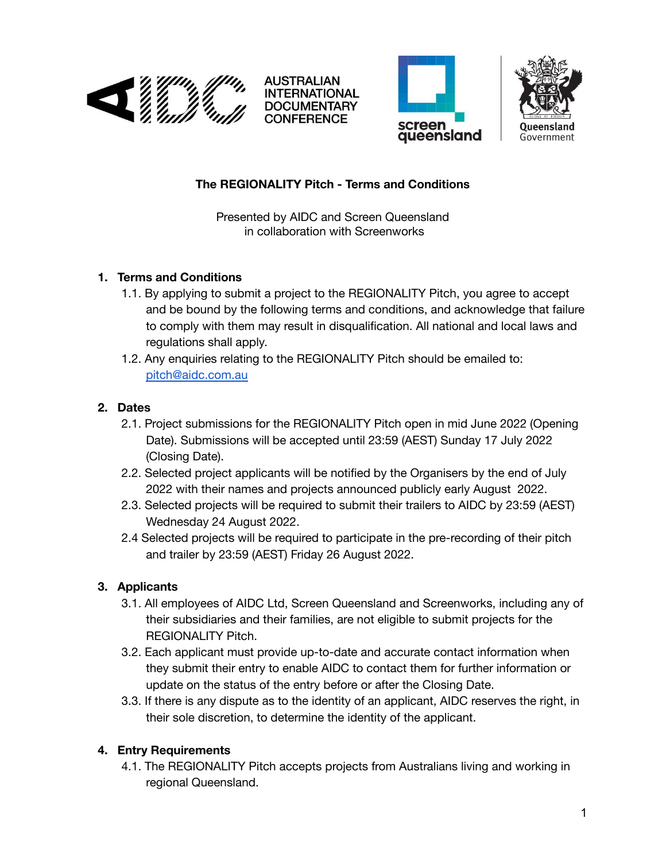

INTERNATIONAL **DOCUMENTARY CONFERENCE** 





## **The REGIONALITY Pitch - Terms and Conditions**

Presented by AIDC and Screen Queensland in collaboration with Screenworks

### **1. Terms and Conditions**

- 1.1. By applying to submit a project to the REGIONALITY Pitch, you agree to accept and be bound by the following terms and conditions, and acknowledge that failure to comply with them may result in disqualification. All national and local laws and regulations shall apply.
- 1.2. Any enquiries relating to the REGIONALITY Pitch should be emailed to: [pitch@aidc.com.au](mailto:pitch@aidc.com.au)

## **2. Dates**

- 2.1. Project submissions for the REGIONALITY Pitch open in mid June 2022 (Opening Date). Submissions will be accepted until 23:59 (AEST) Sunday 17 July 2022 (Closing Date).
- 2.2. Selected project applicants will be notified by the Organisers by the end of July 2022 with their names and projects announced publicly early August 2022.
- 2.3. Selected projects will be required to submit their trailers to AIDC by 23:59 (AEST) Wednesday 24 August 2022.
- 2.4 Selected projects will be required to participate in the pre-recording of their pitch and trailer by 23:59 (AEST) Friday 26 August 2022.

# **3. Applicants**

- 3.1. All employees of AIDC Ltd, Screen Queensland and Screenworks, including any of their subsidiaries and their families, are not eligible to submit projects for the REGIONALITY Pitch.
- 3.2. Each applicant must provide up-to-date and accurate contact information when they submit their entry to enable AIDC to contact them for further information or update on the status of the entry before or after the Closing Date.
- 3.3. If there is any dispute as to the identity of an applicant, AIDC reserves the right, in their sole discretion, to determine the identity of the applicant.

# **4. Entry Requirements**

4.1. The REGIONALITY Pitch accepts projects from Australians living and working in regional Queensland.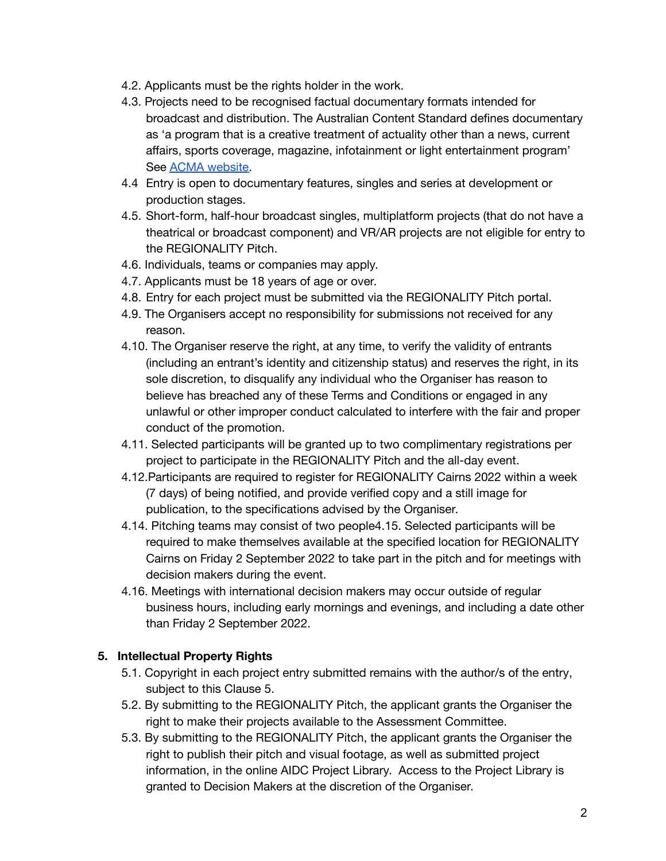- 4.2. Applicants must be the rights holder in the work.
- 4.3. Projects need to be recognised factual documentary formats intended for broadcast and distribution. The Australian Content Standard defines documentary as 'a program that is a creative treatment of actuality other than a news, current affairs, sports coverage, magazine, infotainment or light entertainment program' See **ACMA** [website.](https://www.acma.gov.au/publications/2021-06/guide/documentary-guidelines)
- 4.4 Entry is open to documentary features, singles and series at development or production stages.
- 4.5. Short-form, half-hour broadcast singles, multiplatform projects (that do not have a theatrical or broadcast component) and VR/AR projects are not eligible for entry to the REGIONALITY Pitch.
- 4.6. Individuals, teams or companies may apply.
- 4.7. Applicants must be 18 years of age or over.
- 4.8. Entry for each project must be submitted via the REGIONALITY Pitch portal.
- 4.9. The Organisers accept no responsibility for submissions not received for any reason.
- 4.10. The Organiser reserve the right, at any time, to verify the validity of entrants (including an entrant's identity and citizenship status) and reserves the right, in its sole discretion, to disqualify any individual who the Organiser has reason to believe has breached any of these Terms and Conditions or engaged in any unlawful or other improper conduct calculated to interfere with the fair and proper conduct of the promotion.
- 4.11. Selected participants will be granted up to two complimentary registrations per project to participate in the REGIONALITY Pitch and the all-day event.
- 4.12.Participants are required to register for REGIONALITY Cairns 2022 within a week (7 days) of being notified, and provide verified copy and a still image for publication, to the specifications advised by the Organiser.
- 4.14. Pitching teams may consist of two people4.15. Selected participants will be required to make themselves available at the specified location for REGIONALITY Cairns on Friday 2 September 2022 to take part in the pitch and for meetings with decision makers during the event.
- 4.16. Meetings with international decision makers may occur outside of regular business hours, including early mornings and evenings, and including a date other than Friday 2 September 2022.

#### **5. Intellectual Property Rights**

- 5.1. Copyright in each project entry submitted remains with the author/s of the entry, subject to this Clause 5.
- 5.2. By submitting to the REGIONALITY Pitch, the applicant grants the Organiser the right to make their projects available to the Assessment Committee.
- 5.3. By submitting to the REGIONALITY Pitch, the applicant grants the Organiser the right to publish their pitch and visual footage, as well as submitted project information, in the online AIDC Project Library. Access to the Project Library is granted to Decision Makers at the discretion of the Organiser.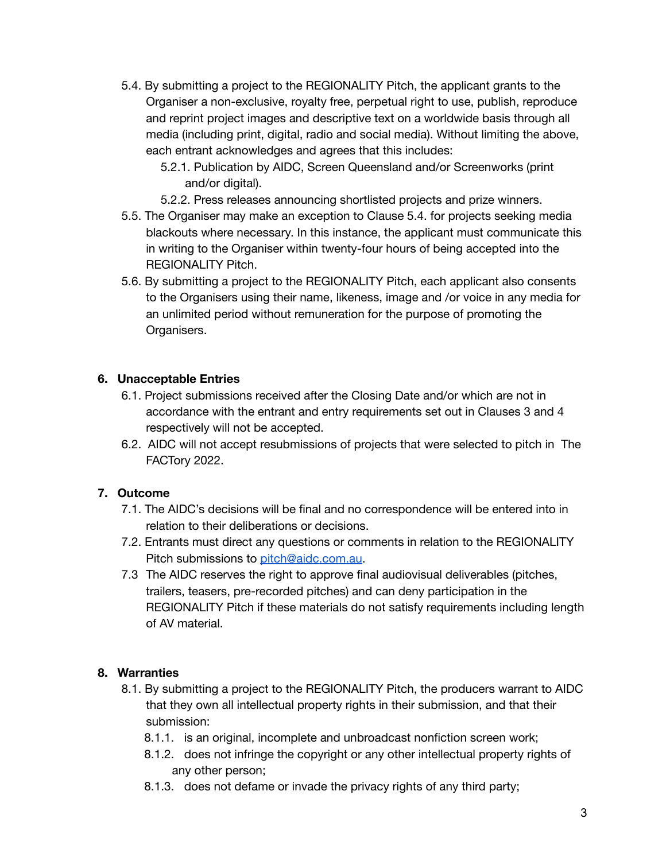- 5.4. By submitting a project to the REGIONALITY Pitch, the applicant grants to the Organiser a non-exclusive, royalty free, perpetual right to use, publish, reproduce and reprint project images and descriptive text on a worldwide basis through all media (including print, digital, radio and social media). Without limiting the above, each entrant acknowledges and agrees that this includes:
	- 5.2.1. Publication by AIDC, Screen Queensland and/or Screenworks (print and/or digital).
	- 5.2.2. Press releases announcing shortlisted projects and prize winners.
- 5.5. The Organiser may make an exception to Clause 5.4. for projects seeking media blackouts where necessary. In this instance, the applicant must communicate this in writing to the Organiser within twenty-four hours of being accepted into the REGIONALITY Pitch.
- 5.6. By submitting a project to the REGIONALITY Pitch, each applicant also consents to the Organisers using their name, likeness, image and /or voice in any media for an unlimited period without remuneration for the purpose of promoting the Organisers.

#### **6. Unacceptable Entries**

- 6.1. Project submissions received after the Closing Date and/or which are not in accordance with the entrant and entry requirements set out in Clauses 3 and 4 respectively will not be accepted.
- 6.2. AIDC will not accept resubmissions of projects that were selected to pitch in The FACTory 2022.

## **7. Outcome**

- 7.1. The AIDC's decisions will be final and no correspondence will be entered into in relation to their deliberations or decisions.
- 7.2. Entrants must direct any questions or comments in relation to the REGIONALITY Pitch submissions to [pitch@aidc.com.au](mailto:pitch@aidc.com.au).
- 7.3 The AIDC reserves the right to approve final audiovisual deliverables (pitches, trailers, teasers, pre-recorded pitches) and can deny participation in the REGIONALITY Pitch if these materials do not satisfy requirements including length of AV material.

## **8. Warranties**

- 8.1. By submitting a project to the REGIONALITY Pitch, the producers warrant to AIDC that they own all intellectual property rights in their submission, and that their submission:
	- 8.1.1. is an original, incomplete and unbroadcast nonfiction screen work;
	- 8.1.2. does not infringe the copyright or any other intellectual property rights of any other person;
	- 8.1.3. does not defame or invade the privacy rights of any third party;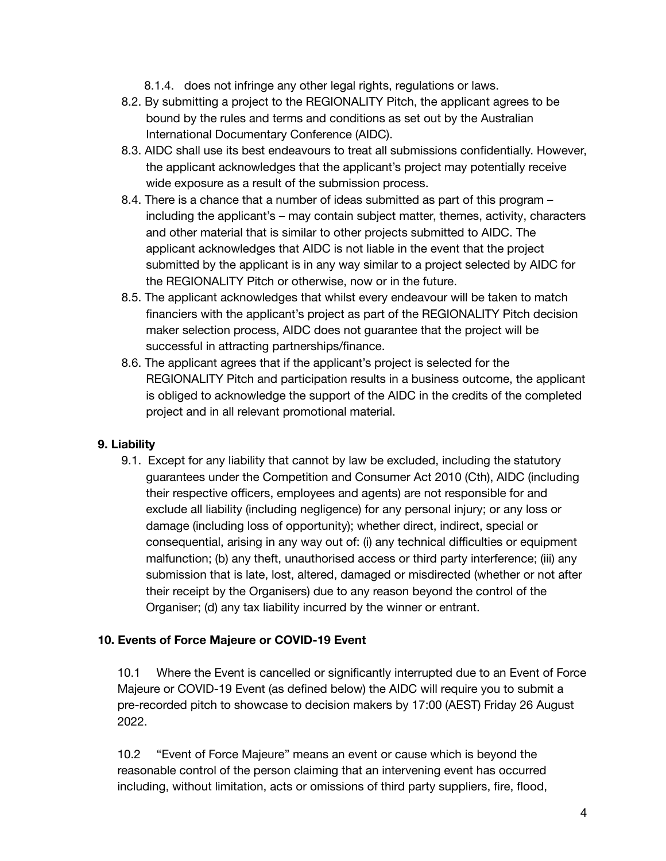- 8.1.4. does not infringe any other legal rights, regulations or laws.
- 8.2. By submitting a project to the REGIONALITY Pitch, the applicant agrees to be bound by the rules and terms and conditions as set out by the Australian International Documentary Conference (AIDC).
- 8.3. AIDC shall use its best endeavours to treat all submissions confidentially. However, the applicant acknowledges that the applicant's project may potentially receive wide exposure as a result of the submission process.
- 8.4. There is a chance that a number of ideas submitted as part of this program including the applicant's – may contain subject matter, themes, activity, characters and other material that is similar to other projects submitted to AIDC. The applicant acknowledges that AIDC is not liable in the event that the project submitted by the applicant is in any way similar to a project selected by AIDC for the REGIONALITY Pitch or otherwise, now or in the future.
- 8.5. The applicant acknowledges that whilst every endeavour will be taken to match financiers with the applicant's project as part of the REGIONALITY Pitch decision maker selection process, AIDC does not guarantee that the project will be successful in attracting partnerships/finance.
- 8.6. The applicant agrees that if the applicant's project is selected for the REGIONALITY Pitch and participation results in a business outcome, the applicant is obliged to acknowledge the support of the AIDC in the credits of the completed project and in all relevant promotional material.

## **9. Liability**

9.1. Except for any liability that cannot by law be excluded, including the statutory guarantees under the Competition and Consumer Act 2010 (Cth), AIDC (including their respective officers, employees and agents) are not responsible for and exclude all liability (including negligence) for any personal injury; or any loss or damage (including loss of opportunity); whether direct, indirect, special or consequential, arising in any way out of: (i) any technical difficulties or equipment malfunction; (b) any theft, unauthorised access or third party interference; (iii) any submission that is late, lost, altered, damaged or misdirected (whether or not after their receipt by the Organisers) due to any reason beyond the control of the Organiser; (d) any tax liability incurred by the winner or entrant.

#### **10. Events of Force Majeure or COVID-19 Event**

10.1 Where the Event is cancelled or significantly interrupted due to an Event of Force Majeure or COVID-19 Event (as defined below) the AIDC will require you to submit a pre-recorded pitch to showcase to decision makers by 17:00 (AEST) Friday 26 August 2022.

10.2 "Event of Force Majeure" means an event or cause which is beyond the reasonable control of the person claiming that an intervening event has occurred including, without limitation, acts or omissions of third party suppliers, fire, flood,